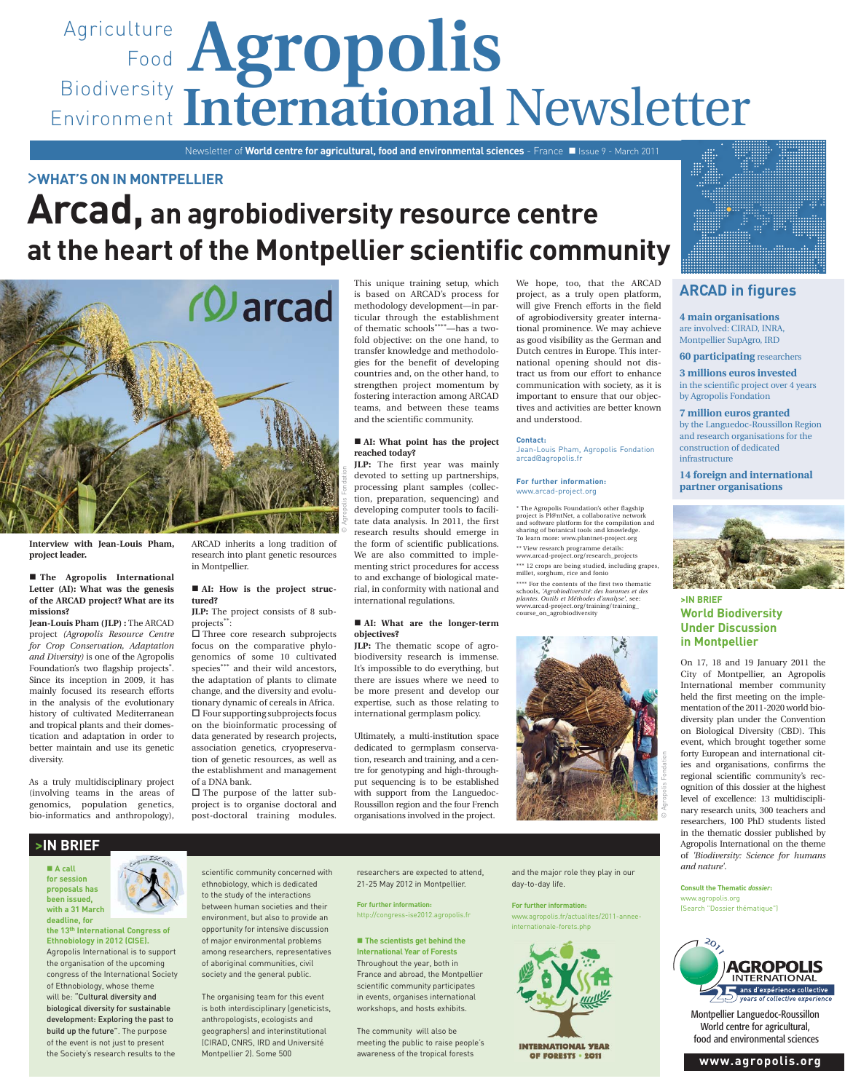# Agriculture **Agropolis** Food Biodiversity Environment International Newsletter

Newsletter of **World centre for agricultural, food and environmental sciences** - France Issue 9 - March 2011

## >**WHAT'S ON IN MONTPELLIER**

# **Arcad, an agrobiodiversity resource centre at the heart of the Montpellier scientific community**



**Interview with Jean-Louis Pham, project leader.**

#### **The Agropolis International Letter (AI): What was the genesis of the ARCAD project? What are its missions?**

**Jean-Louis Pham (JLP) :** The ARCAD project *(Agropolis Resource Centre for Crop Conservation, Adaptation and Diversity)* is one of the Agropolis Foundation's two flagship projects\*. Since its inception in 2009, it has mainly focused its research efforts in the analysis of the evolutionary history of cultivated Mediterranean and tropical plants and their domestication and adaptation in order to better maintain and use its genetic diversity.

As a truly multidisciplinary project (involving teams in the areas of genomics, population genetics, bio-informatics and anthropology),

ARCAD inherits a long tradition of research into plant genetic resources in Montpellier.

## ■ AI: How is the project struc**tured?**

**JLP:** The project consists of 8 subprojects\*\*:

 Three core research subprojects focus on the comparative phylogenomics of some 10 cultivated species\*\*\* and their wild ancestors, the adaptation of plants to climate change, and the diversity and evolutionary dynamic of cereals in Africa.  $\square$  Four supporting subprojects focus on the bioinformatic processing of data generated by research projects, association genetics, cryopreservation of genetic resources, as well as the establishment and management of a DNA bank.

 $\Box$  The purpose of the latter subproject is to organise doctoral and post-doctoral training modules.

This unique training setup, which is based on ARCAD's process for methodology development—in particular through the establishment of thematic schools\*\*\*\*—has a twofold objective: on the one hand, to transfer knowledge and methodologies for the benefit of developing countries and, on the other hand, to strengthen project momentum by fostering interaction among ARCAD teams, and between these teams and the scientific community.

#### **AI: What point has the project reached today?**

**JLP:** The first year was mainly devoted to setting up partnerships, processing plant samples (collection, preparation, sequencing) and developing computer tools to facilitate data analysis. In 2011, the first research results should emerge in the form of scientific publications. We are also committed to implementing strict procedures for access to and exchange of biological material, in conformity with national and international regulations.

#### **AI: What are the longer-term objectives?**

**JLP:** The thematic scope of agrobiodiversity research is immense. It's impossible to do everything, but there are issues where we need to be more present and develop our expertise, such as those relating to international germplasm policy.

Ultimately, a multi-institution space dedicated to germplasm conservation, research and training, and a centre for genotyping and high-throughput sequencing is to be established with support from the Languedoc-Roussillon region and the four French organisations involved in the project.

We hope, too, that the ARCAD project, as a truly open platform, will give French efforts in the field of agrobiodiversity greater international prominence. We may achieve as good visibility as the German and Dutch centres in Europe. This international opening should not distract us from our effort to enhance communication with society, as it is important to ensure that our objectives and activities are better known and understood.

#### **Contact:**

Jean-Louis Pham, Agropolis Fondation arcad@agropolis.fr

**For further information:** www.arcad-project.org

\* The Agropolis Foundation's other flagship project is Pl@ntNet, a collaborative network and software platform for the compilation and sharing of botanical tools and knowledge. To learn more: www.plantnet-project.org \*\* View research programme details: www.arcad-project.org/research\_projects \*\*\* 12 crops are being studied, including grapes millet, sorghum, rice and fonio \*\*\*\* For the contents of the first two thematic schools, *'Agrobiodiversité: des hommes et des plantes. Outils et Méthodes d'analyse'*, see: www.arcad-project.org/training/training\_ course\_on\_agrobiodiversity

![](_page_0_Picture_25.jpeg)

## **ARCAD in figures**

**4 main organisations**  are involved: CIRAD, INRA, Montpellier SupAgro, IRD

**60 participating** researchers

## **3 millions euros invested**

in the scientific project over 4 years by Agropolis Fondation

**7 million euros granted**  by the Languedoc-Roussillon Region and research organisations for the construction of dedicated infrastructure

**14 foreign and international partner organisations** 

![](_page_0_Picture_33.jpeg)

## **>IN BRIEF World Biodiversity Under Discussion in Montpellier**

On 17, 18 and 19 January 2011 the City of Montpellier, an Agropolis International member community held the first meeting on the implementation of the 2011-2020 world biodiversity plan under the Convention on Biological Diversity (CBD). This event, which brought together some forty European and international cities and organisations, confirms the regional scientific community's recognition of this dossier at the highest level of excellence: 13 multidisciplinary research units, 300 teachers and researchers, 100 PhD students listed in the thematic dossier published by Agropolis International on the theme of *'Biodiversity: Science for humans and nature'*.

**Consult the Thematic** *dossier***:** www.agropolis.org (Search "Dossier thématique")

![](_page_0_Picture_37.jpeg)

Montpellier Languedoc-Roussillon World centre for agricultural, food and environmental sciences

![](_page_0_Picture_41.jpeg)

**with a 31 March** 

**deadline, for the 13th International Congress of Ethnobiology in 2012 (CISE).** Agropolis International is to support the organisation of the upcoming congress of the International Society of Ethnobiology, whose theme will be: "Cultural diversity and biological diversity for sustainable development: Exploring the past to build up the future". The purpose of the event is not just to present the Society's research results to the

![](_page_0_Picture_43.jpeg)

scientific community concerned with ethnobiology, which is dedicated to the study of the interactions between human societies and their environment, but also to provide an opportunity for intensive discussion of major environmental problems among researchers, representatives of aboriginal communities, civil

society and the general public.

The organising team for this event is both interdisciplinary (geneticists, anthropologists, ecologists and geographers) and interinstitutional (CIRAD, CNRS, IRD and Université Montpellier 2). Some 500

researchers are expected to attend, 21-25 May 2012 in Montpellier.

**For further information:** http://congress-ise2012.agropolis.fr

■ The scientists get behind the **International Year of Forests** Throughout the year, both in France and abroad, the Montpellier scientific community participates in events, organises international workshops, and hosts exhibits.

The community will also be meeting the public to raise people's awareness of the tropical forests

and the major role they play in our day-to-day life.

**For further information:**

www.agropolis.fr/actualites/2011-anneeinternationale-forets.php

![](_page_0_Picture_52.jpeg)

**INTERNATIONAL YEAR** OF FORESTS . 2011